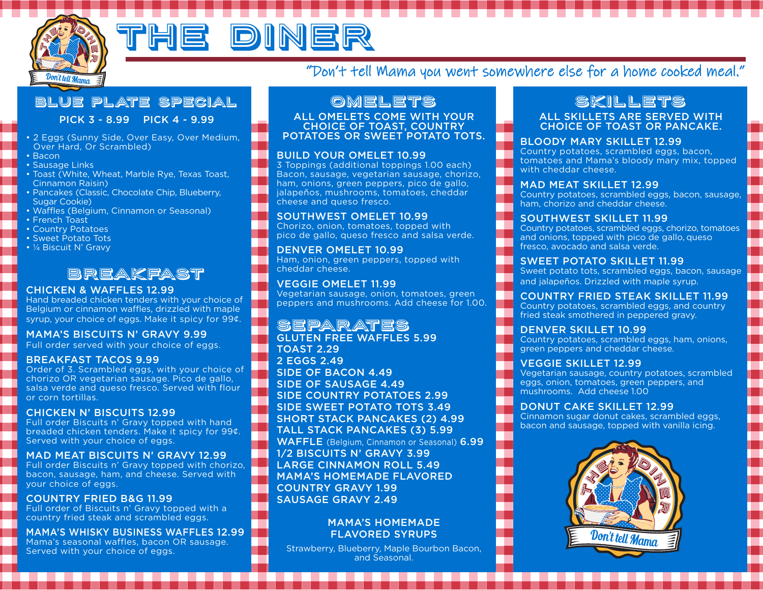

# <u>he diner</u>

## "Don't tell Mama you went somewhere else for a home cooked meal."

## Blue Plate Special

PICK 3 - 8.99 PICK 4 - 9.99

- 2 Eggs (Sunny Side, Over Easy, Over Medium, Over Hard, Or Scrambled)
- Bacon
- Sausage Links
- Toast (White, Wheat, Marble Rye, Texas Toast, Cinnamon Raisin)
- Pancakes (Classic, Chocolate Chip, Blueberry, Sugar Cookie)
- Waffles (Belgium, Cinnamon or Seasonal)
- French Toast
- Country Potatoes
- Sweet Potato Tots
- ¼ Biscuit N' Gravy

## Breakfast

#### CHICKEN & WAFFLES 12.99

Hand breaded chicken tenders with your choice of Belgium or cinnamon waffles, drizzled with maple syrup, your choice of eggs. Make it spicy for 99¢.

#### MAMA'S BISCUITS N' GRAVY 9.99

Full order served with your choice of eggs.

#### BREAKFAST TACOS 9.99

Order of 3. Scrambled eggs, with your choice of chorizo OR vegetarian sausage. Pico de gallo, salsa verde and queso fresco. Served with flour or corn tortillas.

#### CHICKEN N' BISCUITS 12.99

Full order Biscuits n' Gravy topped with hand breaded chicken tenders. Make it spicy for 99¢. Served with your choice of eggs.

#### MAD MEAT BISCUITS N' GRAVY 12.99

Full order Biscuits n' Gravy topped with chorizo, bacon, sausage, ham, and cheese. Served with your choice of eggs.

#### COUNTRY FRIED B&G 11.99

Full order of Biscuits n' Gravy topped with a country fried steak and scrambled eggs.

MAMA'S WHISKY BUSINESS WAFFLES 12.99 Mama's seasonal waffles, bacon OR sausage. Served with your choice of eggs.

## Omelets

ALL OMELETS COME WITH YOUR CHOICE OF TOAST, COUNTRY POTATOES OR SWEET POTATO TOTS.

#### BUILD YOUR OMELET 10.99

3 Toppings (additional toppings 1.00 each) Bacon, sausage, vegetarian sausage, chorizo, ham, onions, green peppers, pico de gallo, jalapeños, mushrooms, tomatoes, cheddar cheese and queso fresco.

#### SOUTHWEST OMELET 10.99

Chorizo, onion, tomatoes, topped with pico de gallo, queso fresco and salsa verde.

DENVER OMELET 10.99 Ham, onion, green peppers, topped with cheddar cheese.

VEGGIE OMELET 11.99 Vegetarian sausage, onion, tomatoes, green peppers and mushrooms. Add cheese for 1.00.

#### Separates GLUTEN FREE WAFFLES 5.99

TOAST 2.29 2 EGGS 2.49 SIDE OF BACON 4.49 SIDE OF SAUSAGE 4.49 SIDE COUNTRY POTATOES 2.99 SIDE SWEET POTATO TOTS 3.49 SHORT STACK PANCAKES (2) 4.99 TALL STACK PANCAKES (3) 5.99 WAFFLE (Belgium, Cinnamon or Seasonal) 6.99 1⁄2 BISCUITS N' GRAVY 3.99 LARGE CINNAMON ROLL 5.49 MAMA'S HOMEMADE FLAVORED COUNTRY GRAVY 1.99 SAUSAGE GRAVY 2.49

#### MAMA'S HOMEMADE FLAVORED SYRUPS

Strawberry, Blueberry, Maple Bourbon Bacon, and Seasonal.

## skillets

#### ALL SKILLETS ARE SERVED WITH CHOICE OF TOAST OR PANCAKE.

#### BLOODY MARY SKILLET 12.99

Country potatoes, scrambled eggs, bacon, tomatoes and Mama's bloody mary mix, topped with cheddar cheese.

#### MAD MEAT SKILLET 12.99

Country potatoes, scrambled eggs, bacon, sausage, ham, chorizo and cheddar cheese.

#### SOUTHWEST SKILLET 11.99

Country potatoes, scrambled eggs, chorizo, tomatoes and onions, topped with pico de gallo, queso fresco, avocado and salsa verde.

#### SWEET POTATO SKILLET 11.99

Sweet potato tots, scrambled eggs, bacon, sausage and jalapeños. Drizzled with maple syrup.

#### COUNTRY FRIED STEAK SKILLET 11.99

Country potatoes, scrambled eggs, and country fried steak smothered in peppered gravy.

#### DENVER SKILLET 10.99

Country potatoes, scrambled eggs, ham, onions, green peppers and cheddar cheese.

#### VEGGIE SKILLET 12.99

Vegetarian sausage, country potatoes, scrambled eggs, onion, tomatoes, green peppers, and mushrooms. Add cheese 1.00

#### DONUT CAKE SKILLET 12.99

Cinnamon sugar donut cakes, scrambled eggs, bacon and sausage, topped with vanilla icing.